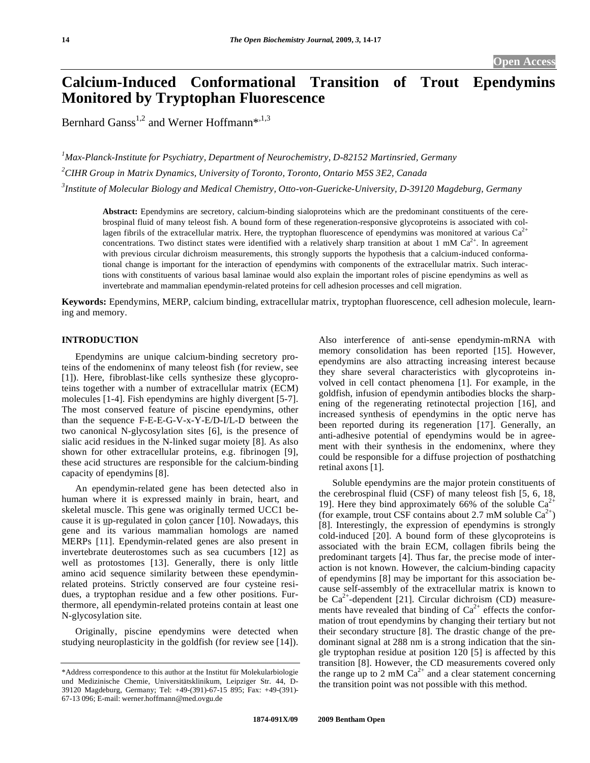# **Calcium-Induced Conformational Transition of Trout Ependymins Monitored by Tryptophan Fluorescence**

Bernhard Ganss<sup>1,2</sup> and Werner Hoffmann\*,<sup>1,3</sup>

*1 Max-Planck-Institute for Psychiatry, Department of Neurochemistry, D-82152 Martinsried, Germany 2 CIHR Group in Matrix Dynamics, University of Toronto, Toronto, Ontario M5S 3E2, Canada* 

*3 Institute of Molecular Biology and Medical Chemistry, Otto-von-Guericke-University, D-39120 Magdeburg, Germany* 

**Abstract:** Ependymins are secretory, calcium-binding sialoproteins which are the predominant constituents of the cerebrospinal fluid of many teleost fish. A bound form of these regeneration-responsive glycoproteins is associated with collagen fibrils of the extracellular matrix. Here, the tryptophan fluorescence of ependymins was monitored at various  $Ca^{2+}$ concentrations. Two distinct states were identified with a relatively sharp transition at about 1 mM  $Ca^{2+}$ . In agreement with previous circular dichroism measurements, this strongly supports the hypothesis that a calcium-induced conformational change is important for the interaction of ependymins with components of the extracellular matrix. Such interactions with constituents of various basal laminae would also explain the important roles of piscine ependymins as well as invertebrate and mammalian ependymin-related proteins for cell adhesion processes and cell migration.

**Keywords:** Ependymins, MERP, calcium binding, extracellular matrix, tryptophan fluorescence, cell adhesion molecule, learning and memory.

# **INTRODUCTION**

 Ependymins are unique calcium-binding secretory proteins of the endomeninx of many teleost fish (for review, see [1]). Here, fibroblast-like cells synthesize these glycoproteins together with a number of extracellular matrix (ECM) molecules [1-4]. Fish ependymins are highly divergent [5-7]. The most conserved feature of piscine ependymins, other than the sequence F-E-E-G-V-x-Y-E/D-I/L-D between the two canonical N-glycosylation sites [6], is the presence of sialic acid residues in the N-linked sugar moiety [8]. As also shown for other extracellular proteins, e.g. fibrinogen [9], these acid structures are responsible for the calcium-binding capacity of ependymins [8].

 An ependymin-related gene has been detected also in human where it is expressed mainly in brain, heart, and skeletal muscle. This gene was originally termed UCC1 because it is up-regulated in colon cancer [10]. Nowadays, this gene and its various mammalian homologs are named MERPs [11]. Ependymin-related genes are also present in invertebrate deuterostomes such as sea cucumbers [12] as well as protostomes [13]. Generally, there is only little amino acid sequence similarity between these ependyminrelated proteins. Strictly conserved are four cysteine residues, a tryptophan residue and a few other positions. Furthermore, all ependymin-related proteins contain at least one N-glycosylation site.

 Originally, piscine ependymins were detected when studying neuroplasticity in the goldfish (for review see [14]). Also interference of anti-sense ependymin-mRNA with memory consolidation has been reported [15]. However, ependymins are also attracting increasing interest because they share several characteristics with glycoproteins involved in cell contact phenomena [1]. For example, in the goldfish, infusion of ependymin antibodies blocks the sharpening of the regenerating retinotectal projection [16], and increased synthesis of ependymins in the optic nerve has been reported during its regeneration [17]. Generally, an anti-adhesive potential of ependymins would be in agreement with their synthesis in the endomeninx, where they could be responsible for a diffuse projection of posthatching retinal axons [1].

 Soluble ependymins are the major protein constituents of the cerebrospinal fluid (CSF) of many teleost fish [5, 6, 18, 19]. Here they bind approximately 66% of the soluble  $Ca^{2+}$ (for example, trout CSF contains about 2.7 mM soluble  $Ca^{2+}$ ) [8]. Interestingly, the expression of ependymins is strongly cold-induced [20]. A bound form of these glycoproteins is associated with the brain ECM, collagen fibrils being the predominant targets [4]. Thus far, the precise mode of interaction is not known. However, the calcium-binding capacity of ependymins [8] may be important for this association because self-assembly of the extracellular matrix is known to be  $Ca^{2+}$ -dependent [21]. Circular dichroism (CD) measurements have revealed that binding of  $Ca^{2+}$  effects the conformation of trout ependymins by changing their tertiary but not their secondary structure [8]. The drastic change of the predominant signal at 288 nm is a strong indication that the single tryptophan residue at position 120 [5] is affected by this transition [8]. However, the CD measurements covered only the range up to 2 mM  $Ca^{2+}$  and a clear statement concerning the transition point was not possible with this method.

<sup>\*</sup>Address correspondence to this author at the Institut für Molekularbiologie und Medizinische Chemie, Universitätsklinikum, Leipziger Str. 44, D-39120 Magdeburg, Germany; Tel: +49-(391)-67-15 895; Fax: +49-(391)- 67-13 096; E-mail: werner.hoffmann@med.ovgu.de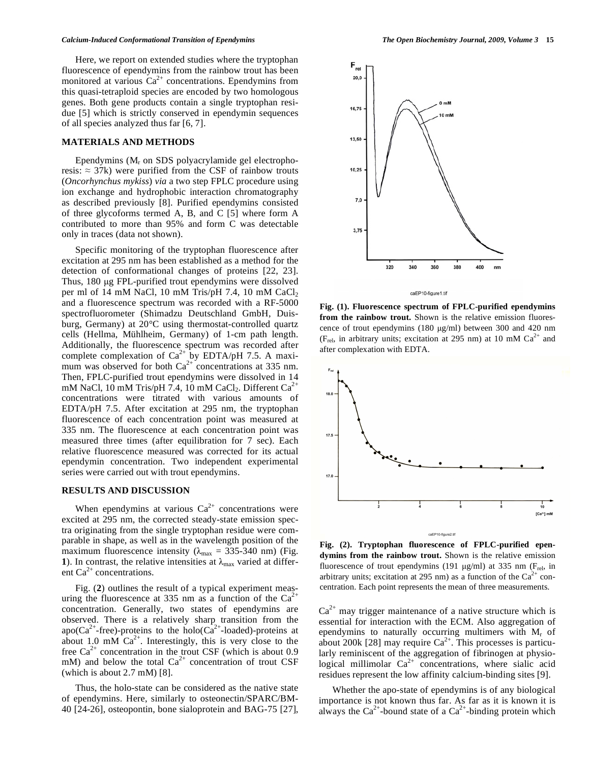Here, we report on extended studies where the tryptophan fluorescence of ependymins from the rainbow trout has been monitored at various  $Ca^{2+}$  concentrations. Ependymins from this quasi-tetraploid species are encoded by two homologous genes. Both gene products contain a single tryptophan residue [5] which is strictly conserved in ependymin sequences of all species analyzed thus far [6, 7].

### **MATERIALS AND METHODS**

Ependymins  $(M_r \text{ on SDS polyacrylamide gel electropho-}$ resis:  $\approx$  37k) were purified from the CSF of rainbow trouts (*Oncorhynchus mykiss*) *via* a two step FPLC procedure using ion exchange and hydrophobic interaction chromatography as described previously [8]. Purified ependymins consisted of three glycoforms termed A, B, and C [5] where form A contributed to more than 95% and form C was detectable only in traces (data not shown).

 Specific monitoring of the tryptophan fluorescence after excitation at 295 nm has been established as a method for the detection of conformational changes of proteins [22, 23]. Thus, 180 μg FPL-purified trout ependymins were dissolved per ml of 14 mM NaCl, 10 mM Tris/pH 7.4, 10 mM  $CaCl<sub>2</sub>$ and a fluorescence spectrum was recorded with a RF-5000 spectrofluorometer (Shimadzu Deutschland GmbH, Duisburg, Germany) at 20°C using thermostat-controlled quartz cells (Hellma, Mühlheim, Germany) of 1-cm path length. Additionally, the fluorescence spectrum was recorded after complete complexation of  $Ca^{2+}$  by EDTA/pH 7.5. A maximum was observed for both  $Ca^{2+}$  concentrations at 335 nm. Then, FPLC-purified trout ependymins were dissolved in 14 mM NaCl, 10 mM Tris/pH 7.4, 10 mM CaCl<sub>2</sub>. Different  $Ca^{2+}$ concentrations were titrated with various amounts of EDTA/pH 7.5. After excitation at 295 nm, the tryptophan fluorescence of each concentration point was measured at 335 nm. The fluorescence at each concentration point was measured three times (after equilibration for 7 sec). Each relative fluorescence measured was corrected for its actual ependymin concentration. Two independent experimental series were carried out with trout ependymins.

## **RESULTS AND DISCUSSION**

When ependymins at various  $Ca^{2+}$  concentrations were excited at 295 nm, the corrected steady-state emission spectra originating from the single tryptophan residue were comparable in shape, as well as in the wavelength position of the maximum fluorescence intensity ( $\lambda_{\text{max}} = 335{\text -}340$  nm) (Fig. 1). In contrast, the relative intensities at  $\lambda_{\text{max}}$  varied at different  $Ca^{2+}$  concentrations.

 Fig. (**2**) outlines the result of a typical experiment measuring the fluorescence at 335 nm as a function of the  $Ca^{2+}$ concentration. Generally, two states of ependymins are observed. There is a relatively sharp transition from the apo( $Ca^{2+}$ -free)-proteins to the holo( $Ca^{2+}$ -loaded)-proteins at about 1.0 mM  $Ca^{2+}$ . Interestingly, this is very close to the free  $Ca^{2+}$  concentration in the trout CSF (which is about 0.9 mM) and below the total  $Ca^{2+}$  concentration of trout CSF (which is about 2.7 mM) [8].

 Thus, the holo-state can be considered as the native state of ependymins. Here, similarly to osteonectin/SPARC/BM-40 [24-26], osteopontin, bone sialoprotein and BAG-75 [27],



caEP10-figure1.tif

**Fig. (1). Fluorescence spectrum of FPLC-purified ependymins from the rainbow trout.** Shown is the relative emission fluorescence of trout ependymins (180 μg/ml) between 300 and 420 nm (F<sub>rel</sub>, in arbitrary units; excitation at 295 nm) at 10 mM  $Ca^{2+}$  and after complexation with EDTA.



**Fig. (2). Tryptophan fluorescence of FPLC-purified ependymins from the rainbow trout.** Shown is the relative emission fluorescence of trout ependymins (191  $\mu$ g/ml) at 335 nm (F<sub>rel</sub>, in arbitrary units; excitation at 295 nm) as a function of the  $Ca^{2+}$  concentration. Each point represents the mean of three measurements.

 $Ca<sup>2+</sup>$  may trigger maintenance of a native structure which is essential for interaction with the ECM. Also aggregation of ependymins to naturally occurring multimers with  $M_r$  of about 200k [28] may require  $Ca^{2+}$ . This processes is particularly reminiscent of the aggregation of fibrinogen at physiological millimolar  $Ca^{2+}$  concentrations, where sialic acid residues represent the low affinity calcium-binding sites [9].

 Whether the apo-state of ependymins is of any biological importance is not known thus far. As far as it is known it is always the  $Ca^{2+}$ -bound state of a  $Ca^{2+}$ -binding protein which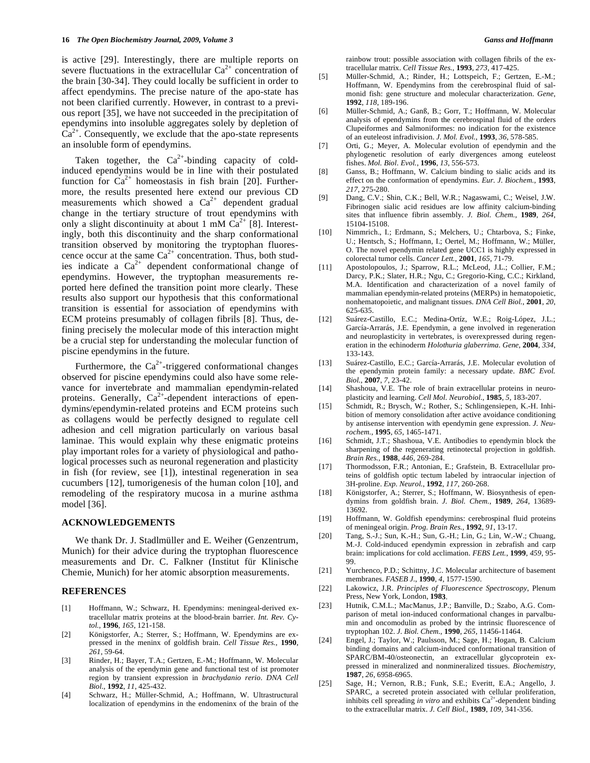is active [29]. Interestingly, there are multiple reports on severe fluctuations in the extracellular  $Ca^{2+}$  concentration of the brain [30-34]. They could locally be sufficient in order to affect ependymins. The precise nature of the apo-state has not been clarified currently. However, in contrast to a previous report [35], we have not succeeded in the precipitation of ependymins into insoluble aggregates solely by depletion of  $Ca^{2+}$ . Consequently, we exclude that the apo-state represents an insoluble form of ependymins.

Taken together, the  $Ca^{2+}$ -binding capacity of coldinduced ependymins would be in line with their postulated function for  $Ca^{2+}$  homeostasis in fish brain [20]. Furthermore, the results presented here extend our previous CD measurements which showed a  $Ca^{2+}$  dependent gradual change in the tertiary structure of trout ependymins with only a slight discontinuity at about 1 mM  $Ca^{2+}$  [8]. Interestingly, both this discontinuity and the sharp conformational transition observed by monitoring the tryptophan fluorescence occur at the same  $Ca^{2+}$  concentration. Thus, both studies indicate a  $Ca^{2+}$  dependent conformational change of ependymins. However, the tryptophan measurements reported here defined the transition point more clearly. These results also support our hypothesis that this conformational transition is essential for association of ependymins with ECM proteins presumably of collagen fibrils [8]. Thus, defining precisely the molecular mode of this interaction might be a crucial step for understanding the molecular function of piscine ependymins in the future.

Furthermore, the  $Ca^{2+}$ -triggered conformational changes observed for piscine ependymins could also have some relevance for invertebrate and mammalian ependymin-related proteins. Generally,  $Ca^{2+}$ -dependent interactions of ependymins/ependymin-related proteins and ECM proteins such as collagens would be perfectly designed to regulate cell adhesion and cell migration particularly on various basal laminae. This would explain why these enigmatic proteins play important roles for a variety of physiological and pathological processes such as neuronal regeneration and plasticity in fish (for review, see [1]), intestinal regeneration in sea cucumbers [12], tumorigenesis of the human colon [10], and remodeling of the respiratory mucosa in a murine asthma model [36].

### **ACKNOWLEDGEMENTS**

 We thank Dr. J. Stadlmüller and E. Weiher (Genzentrum, Munich) for their advice during the tryptophan fluorescence measurements and Dr. C. Falkner (Institut für Klinische Chemie, Munich) for her atomic absorption measurements.

#### **REFERENCES**

- [1] Hoffmann, W.; Schwarz, H. Ependymins: meningeal-derived extracellular matrix proteins at the blood-brain barrier. *Int. Rev. Cytol.*, **1996**, *165*, 121-158.
- [2] Königstorfer, A.; Sterrer, S.; Hoffmann, W. Ependymins are expressed in the meninx of goldfish brain. *Cell Tissue Res.*, **1990**, *261*, 59-64.
- [3] Rinder, H.; Bayer, T.A.; Gertzen, E.-M.; Hoffmann, W. Molecular analysis of the ependymin gene and functional test of ist promoter region by transient expression in *brachydanio rerio*. *DNA Cell Biol.*, **1992**, *11*, 425-432.
- [4] Schwarz, H.; Müller-Schmid, A.; Hoffmann, W. Ultrastructural localization of ependymins in the endomeninx of the brain of the

rainbow trout: possible association with collagen fibrils of the extracellular matrix. *Cell Tissue Res.*, **1993**, *273*, 417-425.

- [5] Müller-Schmid, A.; Rinder, H.; Lottspeich, F.; Gertzen, E.-M.; Hoffmann, W. Ependymins from the cerebrospinal fluid of salmonid fish: gene structure and molecular characterization. *Gene*, **1992**, *118*, 189-196.
- [6] Müller-Schmid, A.; Ganß, B.; Gorr, T.; Hoffmann, W. Molecular analysis of ependymins from the cerebrospinal fluid of the orders Clupeiformes and Salmoniformes: no indication for the existence of an euteleost infradivision. *J. Mol. Evol.*, **1993**, *36*, 578-585.
- [7] Orti, G.; Meyer, A. Molecular evolution of ependymin and the phylogenetic resolution of early divergences among euteleost fishes. *Mol. Biol. Evol.*, **1996**, *13*, 556-573.
- [8] Ganss, B.; Hoffmann, W. Calcium binding to sialic acids and its effect on the conformation of ependymins. *Eur. J. Biochem.*, **1993**, *217*, 275-280.
- [9] Dang, C.V.; Shin, C.K.; Bell, W.R.; Nagaswami, C.; Weisel, J.W. Fibrinogen sialic acid residues are low affinity calcium-binding sites that influence fibrin assembly. *J. Biol. Chem.*, **1989**, *264*, 15104-15108.
- [10] Nimmrich., I.; Erdmann, S.; Melchers, U.; Chtarbova, S.; Finke, U.; Hentsch, S.; Hoffmann, I.; Oertel, M.; Hoffmann, W.; Müller, O. The novel ependymin related gene UCC1 is highly expressed in colorectal tumor cells. *Cancer Lett.*, **2001**, *165*, 71-79.
- [11] Apostolopoulos, J.; Sparrow, R.L.; McLeod, J.L.; Collier, F.M.; Darcy, P.K.; Slater, H.R.; Ngu, C.; Gregorio-King, C.C.; Kirkland, M.A. Identification and characterization of a novel family of mammalian ependymin-related proteins (MERPs) in hematopoietic, nonhematopoietic, and malignant tissues. *DNA Cell Biol.*, **2001**, *20*, 625-635.
- [12] Suárez-Castillo, E.C.; Medina-Ortíz, W.E.; Roig-López, J.L.; García-Arrarás, J.E. Ependymin, a gene involved in regeneration and neuroplasticity in vertebrates, is overexpressed during regeneration in the echinoderm *Holothuria glaberrima*. *Gene*, **2004**, *334*, 133-143.
- [13] Suárez-Castillo, E.C.; García-Arrarás, J.E. Molecular evolution of the ependymin protein family: a necessary update. *BMC Evol.*   $Biol.$  **2007**,  $7.23-42$ .
- [14] Shashoua, V.E. The role of brain extracellular proteins in neuroplasticity and learning. *Cell Mol. Neurobiol.*, **1985**, *5*, 183-207.
- [15] Schmidt, R.; Brysch, W.; Rother, S.; Schlingensiepen, K.-H. Inhibition of memory consolidation after active avoidance conditioning by antisense intervention with ependymin gene expression. *J. Neurochem.*, **1995**, *65*, 1465-1471.
- [16] Schmidt, J.T.; Shashoua, V.E. Antibodies to ependymin block the sharpening of the regenerating retinotectal projection in goldfish. *Brain Res.*, **1988**, *446*, 269-284.
- [17] Thormodsson, F.R.; Antonian, E.; Grafstein, B. Extracellular proteins of goldfish optic tectum labeled by intraocular injection of 3H-proline. *Exp. Neurol.*, **1992**, *117*, 260-268.
- [18] Königstorfer, A.; Sterrer, S.; Hoffmann, W. Biosynthesis of ependymins from goldfish brain. *J. Biol. Chem.*, **1989**, *264*, 13689- 13692.
- [19] Hoffmann, W. Goldfish ependymins: cerebrospinal fluid proteins of meningeal origin. *Prog. Brain Res.*, **1992**, *91*, 13-17.
- [20] Tang, S.-J.; Sun, K.-H.; Sun, G.-H.; Lin, G.; Lin, W.-W.; Chuang, M.-J. Cold-induced ependymin expression in zebrafish and carp brain: implications for cold acclimation. *FEBS Lett.*, **1999**, *459*, 95- 99.
- [21] Yurchenco, P.D.; Schittny, J.C. Molecular architecture of basement membranes. *FASEB J.*, **1990**, *4*, 1577-1590.
- [22] Lakowicz, J.R. *Principles of Fluorescence Spectroscopy*, Plenum Press, New York, London, **1983**.
- [23] Hutnik, C.M.L.; MacManus, J.P.; Banville, D.; Szabo, A.G. Comparison of metal ion-induced conformational changes in parvalbumin and oncomodulin as probed by the intrinsic fluorescence of tryptophan 102. *J. Biol. Chem.*, **1990**, *265*, 11456-11464.
- [24] Engel, J.; Taylor, W.; Paulsson, M.; Sage, H.; Hogan, B. Calcium binding domains and calcium-induced conformational transition of SPARC/BM-40/osteonectin, an extracellular glycoprotein expressed in mineralized and nonmineralized tissues. *Biochemistry*, **1987**, *26*, 6958-6965.
- [25] Sage, H.; Vernon, R.B.; Funk, S.E.; Everitt, E.A.; Angello, J. SPARC, a secreted protein associated with cellular proliferation, inhibits cell spreading *in vitro* and exhibits Ca<sup>2+</sup>-dependent binding to the extracellular matrix. *J. Cell Biol.*, **1989**, *109*, 341-356.